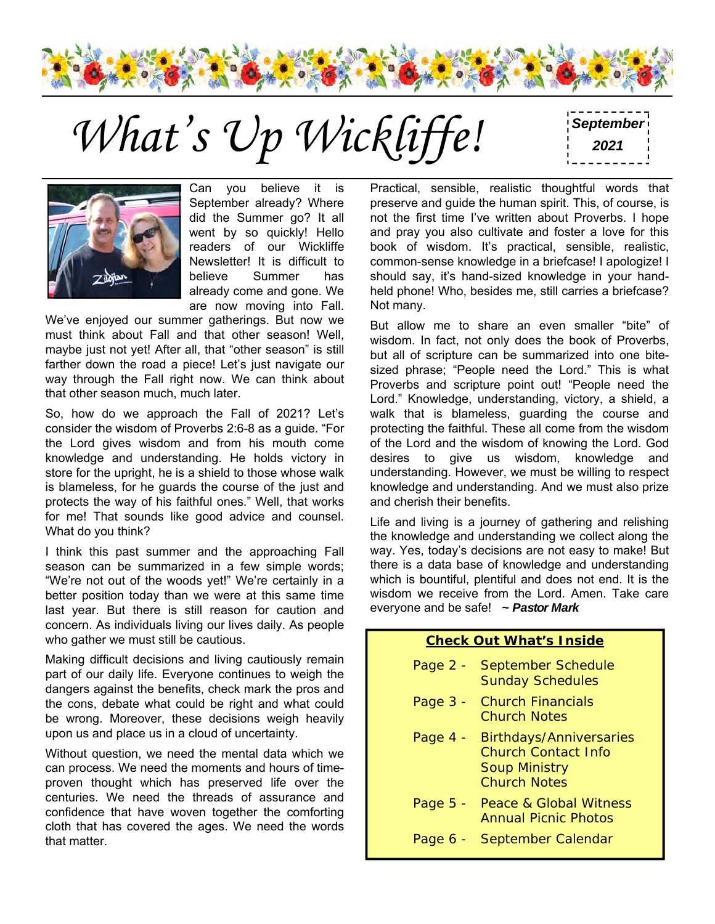

What's Up Wickliffe! <sup>September</sup>



Can you believe it is September already? Where did the Summer go? It all went by so quickly! Hello readers of our Wickliffe Newsletter! It is difficult to believe Summer has already come and gone. We are now moving into Fall.

We've enjoyed our summer gatherings. But now we must think about Fall and that other season! Well, maybe just not yet! After all, that "other season" is still farther down the road a piece! Let's just navigate our way through the Fall right now. We can think about that other season much, much later.

So, how do we approach the Fall of 2021? Let's consider the wisdom of Proverbs 2:6-8 as a guide. "For the Lord gives wisdom and from his mouth come knowledge and understanding. He holds victory in store for the upright, he is a shield to those whose walk is blameless, for he guards the course of the just and protects the way of his faithful ones." Well, that works for me! That sounds like good advice and counsel. What do you think?

I think this past summer and the approaching Fall season can be summarized in a few simple words; "We're not out of the woods yet!" We're certainly in a better position today than we were at this same time last year. But there is still reason for caution and concern. As individuals living our lives daily. As people who gather we must still be cautious.

Making difficult decisions and living cautiously remain part of our daily life. Everyone continues to weigh the dangers against the benefits, check mark the pros and the cons, debate what could be right and what could be wrong. Moreover, these decisions weigh heavily upon us and place us in a cloud of uncertainty.

Without question, we need the mental data which we can process. We need the moments and hours of timeproven thought which has preserved life over the centuries. We need the threads of assurance and confidence that have woven together the comforting cloth that has covered the ages. We need the words that matter.

Practical, sensible, realistic thoughtful words that preserve and guide the human spirit. This, of course, is not the first time I've written about Proverbs. I hope and pray you also cultivate and foster a love for this book of wisdom. It's practical, sensible, realistic, common-sense knowledge in a briefcase! I apologize! I should say, it's hand-sized knowledge in your handheld phone! Who, besides me, still carries a briefcase? Not many.

But allow me to share an even smaller "bite" of wisdom. In fact, not only does the book of Proverbs, but all of scripture can be summarized into one bitesized phrase; "People need the Lord." This is what Proverbs and scripture point out! "People need the Lord." Knowledge, understanding, victory, a shield, a walk that is blameless, guarding the course and protecting the faithful. These all come from the wisdom of the Lord and the wisdom of knowing the Lord. God desires to give us wisdom, knowledge and understanding. However, we must be willing to respect knowledge and understanding. And we must also prize and cherish their benefits.

Life and living is a journey of gathering and relishing the knowledge and understanding we collect along the way. Yes, today's decisions are not easy to make! But there is a data base of knowledge and understanding which is bountiful, plentiful and does not end. It is the wisdom we receive from the Lord. Amen. Take care everyone and be safe! *~ Pastor Mark*

#### **Check Out What's Inside**

- Page 2 September Schedule Sunday Schedules
- Page 3 Church Financials Church Notes
- Page 4 Birthdays/Anniversaries Church Contact Info Soup Ministry Church Notes
- Page 5 Peace & Global Witness Annual Picnic Photos
- Page 6 September Calendar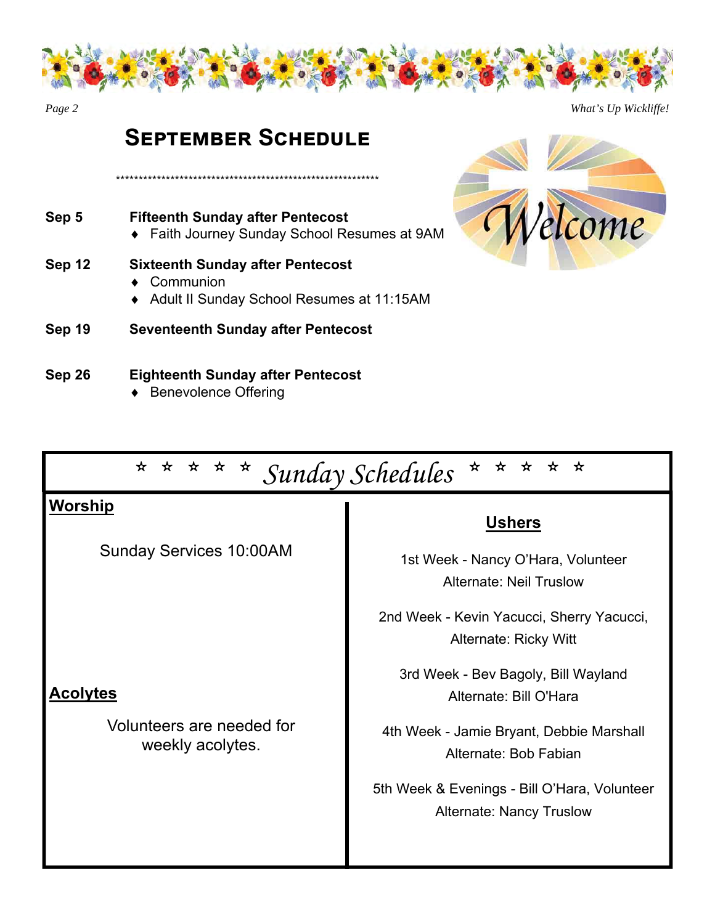

*Page 2 What's Up Wickliffe!* 

## **SEPTEMBER SCHEDULE**

\*\*\*\*\*\*\*\*\*\*\*\*\*\*\*\*\*\*\*\*\*\*\*\*\*\*\*\*\*\*\*\*\*\*\*\*\*\*\*\*\*\*\*\*\*\*\*\*\*\*\*\*\*\*\*\*\*\*

- **Sep 5 Fifteenth Sunday after Pentecost**  Faith Journey Sunday School Resumes at 9AM
- **Sep 12 Sixteenth Sunday after Pentecost** 
	- ◆ Communion
	- Adult II Sunday School Resumes at 11:15AM
- **Sep 19 Seventeenth Sunday after Pentecost**

#### **Sep 26 Eighteenth Sunday after Pentecost**

◆ Benevolence Offering



| * * * * *<br>* * * * Sunday Schedules<br>$\star$ |                                                                                 |  |  |  |
|--------------------------------------------------|---------------------------------------------------------------------------------|--|--|--|
| Worship                                          | <b>Ushers</b>                                                                   |  |  |  |
| <b>Sunday Services 10:00AM</b>                   | 1st Week - Nancy O'Hara, Volunteer<br><b>Alternate: Neil Truslow</b>            |  |  |  |
|                                                  | 2nd Week - Kevin Yacucci, Sherry Yacucci,<br>Alternate: Ricky Witt              |  |  |  |
| Acolytes                                         | 3rd Week - Bev Bagoly, Bill Wayland<br>Alternate: Bill O'Hara                   |  |  |  |
| Volunteers are needed for<br>weekly acolytes.    | 4th Week - Jamie Bryant, Debbie Marshall<br>Alternate: Bob Fabian               |  |  |  |
|                                                  | 5th Week & Evenings - Bill O'Hara, Volunteer<br><b>Alternate: Nancy Truslow</b> |  |  |  |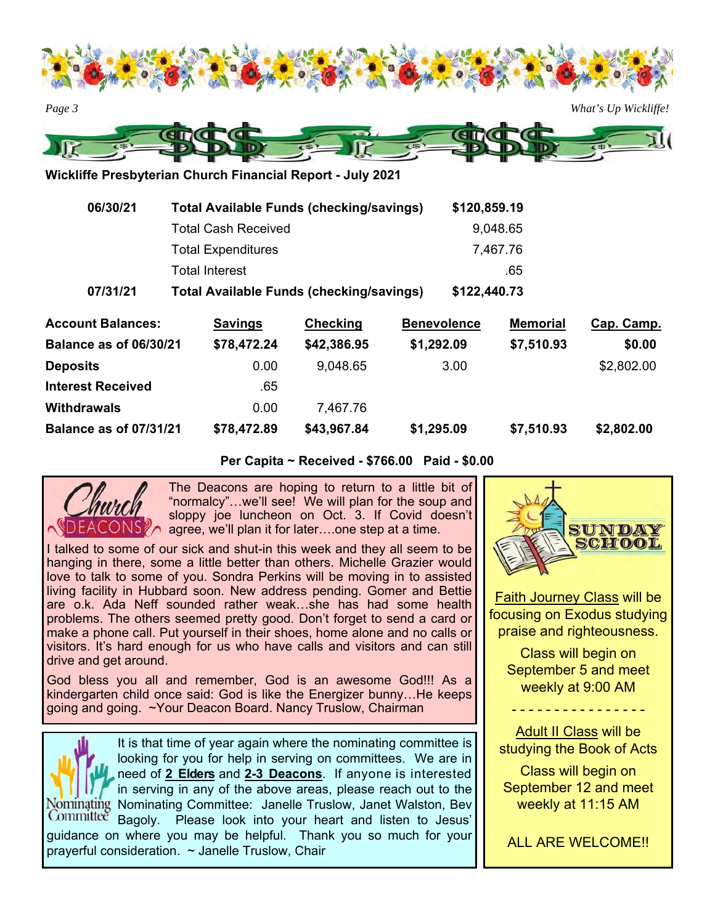



**Wickliffe Presbyterian Church Financial Report - July 2021** 

| 06/30/21 | <b>Total Available Funds (checking/savings)</b> | \$120,859.19 |
|----------|-------------------------------------------------|--------------|
|          | <b>Total Cash Received</b>                      | 9,048.65     |
|          | <b>Total Expenditures</b>                       | 7,467.76     |
|          | <b>Total Interest</b>                           | .65          |
| 07/31/21 | <b>Total Available Funds (checking/savings)</b> | \$122,440.73 |

| <b>Account Balances:</b>      | <b>Savings</b> | <b>Checking</b> | <b>Benevolence</b> | <b>Memorial</b> | Cap. Camp. |
|-------------------------------|----------------|-----------------|--------------------|-----------------|------------|
| <b>Balance as of 06/30/21</b> | \$78,472.24    | \$42,386.95     | \$1,292.09         | \$7,510.93      | \$0.00     |
| <b>Deposits</b>               | 0.00           | 9,048.65        | 3.00               |                 | \$2,802.00 |
| <b>Interest Received</b>      | .65            |                 |                    |                 |            |
| <b>Withdrawals</b>            | 0.00           | 7.467.76        |                    |                 |            |
| <b>Balance as of 07/31/21</b> | \$78,472.89    | \$43,967.84     | \$1,295.09         | \$7,510.93      | \$2,802.00 |

**Per Capita ~ Received - \$766.00 Paid - \$0.00** 



The Deacons are hoping to return to a little bit of "normalcy"…we'll see! We will plan for the soup and sloppy joe luncheon on Oct. 3. If Covid doesn't agree, we'll plan it for later….one step at a time.

I talked to some of our sick and shut-in this week and they all seem to be hanging in there, some a little better than others. Michelle Grazier would love to talk to some of you. Sondra Perkins will be moving in to assisted living facility in Hubbard soon. New address pending. Gomer and Bettie are o.k. Ada Neff sounded rather weak…she has had some health problems. The others seemed pretty good. Don't forget to send a card or make a phone call. Put yourself in their shoes, home alone and no calls or visitors. It's hard enough for us who have calls and visitors and can still drive and get around.

God bless you all and remember, God is an awesome God!!! As a kindergarten child once said: God is like the Energizer bunny…He keeps going and going. ~Your Deacon Board. Nancy Truslow, Chairman

It is that time of year again where the nominating committee is looking for you for help in serving on committees. We are in need of **2 Elders** and **2-3 Deacons**. If anyone is interested in serving in any of the above areas, please reach out to the Nominating Committee: Janelle Truslow, Janet Walston, Bev Committee Bagoly. Please look into your heart and listen to Jesus' guidance on where you may be helpful. Thank you so much for your prayerful consideration. ~ Janelle Truslow, Chair

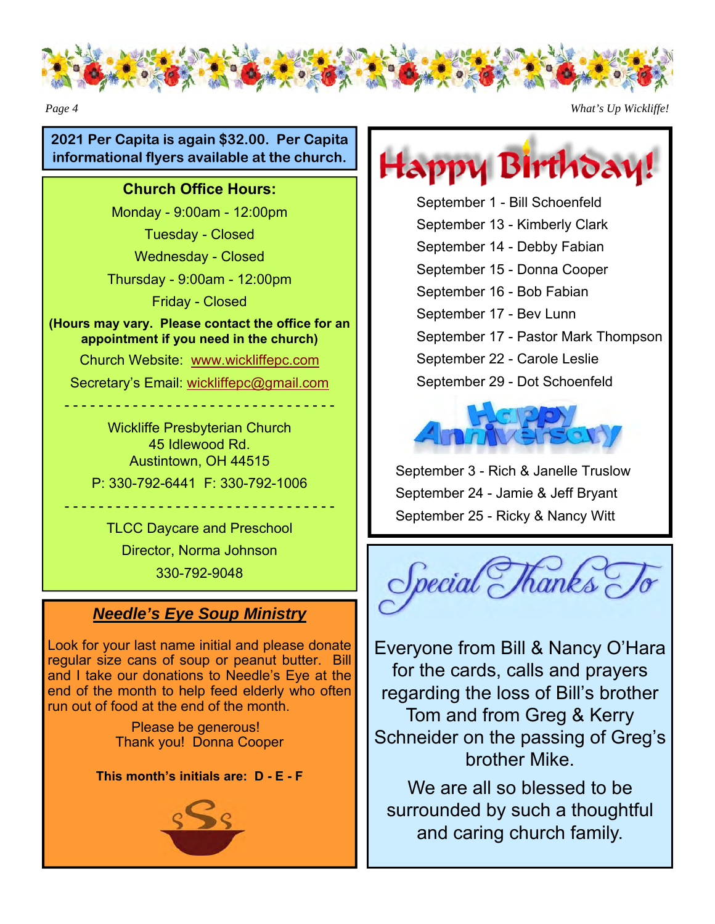

*Page 4 What's Up Wickliffe!* 

#### **2021 Per Capita is again \$32.00. Per Capita informational flyers available at the church.**

#### **Church Office Hours:**

Monday - 9:00am - 12:00pm

Tuesday - Closed

Wednesday - Closed

Thursday - 9:00am - 12:00pm

Friday - Closed

**(Hours may vary. Please contact the office for an appointment if you need in the church)** 

Church Website: www.wickliffepc.com

Secretary's Email: wickliffepc@gmail.com

- - - - - - - - - - - - - - - - - - - - - - - - - - - - - - - -

Wickliffe Presbyterian Church 45 Idlewood Rd. Austintown, OH 44515 P: 330-792-6441 F: 330-792-1006

TLCC Daycare and Preschool Director, Norma Johnson 330-792-9048

- - - - - - - - - - - - - - - - - - - - - - - - - - - - - - - -

### *Needle's Eye Soup Ministry*

Look for your last name initial and please donate regular size cans of soup or peanut butter. Bill and I take our donations to Needle's Eye at the end of the month to help feed elderly who often run out of food at the end of the month.

> Please be generous! Thank you! Donna Cooper

#### **This month's initials are: D - E - F**



Happy Birthdar

September 1 - Bill Schoenfeld September 13 - Kimberly Clark September 14 - Debby Fabian September 15 - Donna Cooper September 16 - Bob Fabian September 17 - Bev Lunn September 17 - Pastor Mark Thompson September 22 - Carole Leslie September 29 - Dot Schoenfeld



September 3 - Rich & Janelle Truslow September 24 - Jamie & Jeff Bryant September 25 - Ricky & Nancy Witt



Everyone from Bill & Nancy O'Hara for the cards, calls and prayers regarding the loss of Bill's brother Tom and from Greg & Kerry Schneider on the passing of Greg's brother Mike.

We are all so blessed to be surrounded by such a thoughtful and caring church family.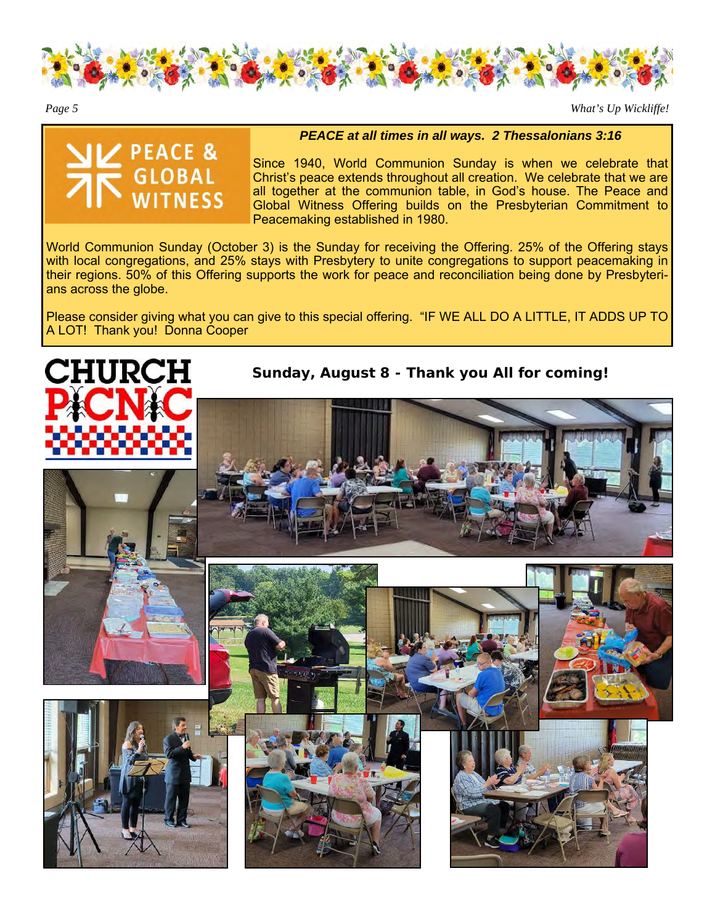

*Page 5 What's Up Wickliffe!* 



*PEACE at all times in all ways. 2 Thessalonians 3:16* 

Since 1940, World Communion Sunday is when we celebrate that Christ's peace extends throughout all creation. We celebrate that we are all together at the communion table, in God's house. The Peace and Global Witness Offering builds on the Presbyterian Commitment to Peacemaking established in 1980.

World Communion Sunday (October 3) is the Sunday for receiving the Offering. 25% of the Offering stays with local congregations, and 25% stays with Presbytery to unite congregations to support peacemaking in their regions. 50% of this Offering supports the work for peace and reconciliation being done by Presbyterians across the globe.

Please consider giving what you can give to this special offering. "IF WE ALL DO A LITTLE, IT ADDS UP TO A LOT! Thank you! Donna Cooper



**Sunday, August 8 - Thank you All for coming!**